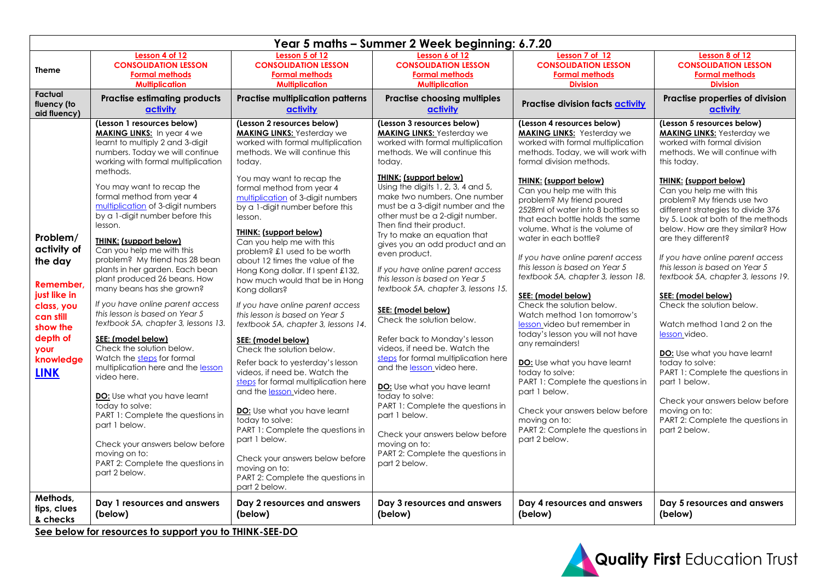|                                                                                                                                                                     |                                                                                                                                                                                                                                                                                                                                                                                                                                                                                                                                                                                                                                                                                                                                                                                                                                                                                                                                                                                                             |                                                                                                                                                                                                                                                                                                                                                                                                                                                                                                                                                                                                                                                                                                                                                                                                                                                                                                                                                                                                                                                       | Year 5 maths - Summer 2 Week beginning: 6.7.20                                                                                                                                                                                                                                                                                                                                                                                                                                                                                                                                                                                                                                                                                                                                                                                                                                                                                                                                   |                                                                                                                                                                                                                                                                                                                                                                                                                                                                                                                                                                                                                                                                                                                                                                                                                                                                                                            |                                                                                                                                                                                                                                                                                                                                                                                                                                                                                                                                                                                                                                                                                                                                                                                                                              |
|---------------------------------------------------------------------------------------------------------------------------------------------------------------------|-------------------------------------------------------------------------------------------------------------------------------------------------------------------------------------------------------------------------------------------------------------------------------------------------------------------------------------------------------------------------------------------------------------------------------------------------------------------------------------------------------------------------------------------------------------------------------------------------------------------------------------------------------------------------------------------------------------------------------------------------------------------------------------------------------------------------------------------------------------------------------------------------------------------------------------------------------------------------------------------------------------|-------------------------------------------------------------------------------------------------------------------------------------------------------------------------------------------------------------------------------------------------------------------------------------------------------------------------------------------------------------------------------------------------------------------------------------------------------------------------------------------------------------------------------------------------------------------------------------------------------------------------------------------------------------------------------------------------------------------------------------------------------------------------------------------------------------------------------------------------------------------------------------------------------------------------------------------------------------------------------------------------------------------------------------------------------|----------------------------------------------------------------------------------------------------------------------------------------------------------------------------------------------------------------------------------------------------------------------------------------------------------------------------------------------------------------------------------------------------------------------------------------------------------------------------------------------------------------------------------------------------------------------------------------------------------------------------------------------------------------------------------------------------------------------------------------------------------------------------------------------------------------------------------------------------------------------------------------------------------------------------------------------------------------------------------|------------------------------------------------------------------------------------------------------------------------------------------------------------------------------------------------------------------------------------------------------------------------------------------------------------------------------------------------------------------------------------------------------------------------------------------------------------------------------------------------------------------------------------------------------------------------------------------------------------------------------------------------------------------------------------------------------------------------------------------------------------------------------------------------------------------------------------------------------------------------------------------------------------|------------------------------------------------------------------------------------------------------------------------------------------------------------------------------------------------------------------------------------------------------------------------------------------------------------------------------------------------------------------------------------------------------------------------------------------------------------------------------------------------------------------------------------------------------------------------------------------------------------------------------------------------------------------------------------------------------------------------------------------------------------------------------------------------------------------------------|
| <b>Theme</b>                                                                                                                                                        | Lesson 4 of 12<br><b>CONSOLIDATION LESSON</b><br><b>Formal methods</b><br><b>Multiplication</b>                                                                                                                                                                                                                                                                                                                                                                                                                                                                                                                                                                                                                                                                                                                                                                                                                                                                                                             | Lesson 5 of 12<br><b>CONSOLIDATION LESSON</b><br><b>Formal methods</b><br><b>Multiplication</b>                                                                                                                                                                                                                                                                                                                                                                                                                                                                                                                                                                                                                                                                                                                                                                                                                                                                                                                                                       | Lesson 6 of 12<br><b>CONSOLIDATION LESSON</b><br><b>Formal methods</b><br><b>Multiplication</b>                                                                                                                                                                                                                                                                                                                                                                                                                                                                                                                                                                                                                                                                                                                                                                                                                                                                                  | Lesson 7 of 12<br><b>CONSOLIDATION LESSON</b><br><b>Formal methods</b><br><b>Division</b>                                                                                                                                                                                                                                                                                                                                                                                                                                                                                                                                                                                                                                                                                                                                                                                                                  | Lesson 8 of 12<br><b>CONSOLIDATION LESSON</b><br><b>Formal methods</b><br><b>Division</b>                                                                                                                                                                                                                                                                                                                                                                                                                                                                                                                                                                                                                                                                                                                                    |
| <b>Factual</b><br>fluency (to<br>aid fluency)                                                                                                                       | <b>Practise estimating products</b><br>activity                                                                                                                                                                                                                                                                                                                                                                                                                                                                                                                                                                                                                                                                                                                                                                                                                                                                                                                                                             | <b>Practise multiplication patterns</b><br>activity                                                                                                                                                                                                                                                                                                                                                                                                                                                                                                                                                                                                                                                                                                                                                                                                                                                                                                                                                                                                   | <b>Practise choosing multiples</b><br>activity                                                                                                                                                                                                                                                                                                                                                                                                                                                                                                                                                                                                                                                                                                                                                                                                                                                                                                                                   | Practise division facts activity                                                                                                                                                                                                                                                                                                                                                                                                                                                                                                                                                                                                                                                                                                                                                                                                                                                                           | Practise properties of division<br>activity                                                                                                                                                                                                                                                                                                                                                                                                                                                                                                                                                                                                                                                                                                                                                                                  |
| Problem/<br>activity of<br>the day<br><b>Remember</b><br>just like in<br>class, you<br>can still<br>show the<br>depth of<br><b>vour</b><br>knowledge<br><b>LINK</b> | (Lesson 1 resources below)<br><b>MAKING LINKS:</b> In year 4 we<br>learnt to multiply 2 and 3-digit<br>numbers. Today we will continue<br>working with formal multiplication<br>methods.<br>You may want to recap the<br>formal method from year 4<br>multiplication of 3-digit numbers<br>by a 1-digit number before this<br>lesson.<br><b>THINK:</b> (support below)<br>Can you help me with this<br>problem? My friend has 28 bean<br>plants in her garden. Each bean<br>plant produced 26 beans. How<br>many beans has she grown?<br>If you have online parent access<br>this lesson is based on Year 5<br>textbook 5A, chapter 3, lessons 13.<br>SEE: (model below)<br>Check the solution below.<br>Watch the steps for formal<br>multiplication here and the lesson<br>video here.<br>DO: Use what you have learnt<br>today to solve:<br>PART 1: Complete the questions in<br>part 1 below.<br>Check your answers below before<br>moving on to:<br>PART 2: Complete the questions in<br>part 2 below. | (Lesson 2 resources below)<br><b>MAKING LINKS:</b> Yesterday we<br>worked with formal multiplication<br>methods. We will continue this<br>today.<br>You may want to recap the<br>formal method from year 4<br>multiplication of 3-digit numbers<br>by a 1-digit number before this<br>lesson.<br>THINK: (support below)<br>Can you help me with this<br>problem? £1 used to be worth<br>about 12 times the value of the<br>Hong Kong dollar. If I spent £132,<br>how much would that be in Hong<br>Kong dollars?<br>If you have online parent access<br>this lesson is based on Year 5<br>textbook 5A, chapter 3, lessons 14.<br>SEE: (model below)<br>Check the solution below.<br>Refer back to yesterday's lesson<br>videos, if need be. Watch the<br>steps for formal multiplication here<br>and the lesson video here.<br><b>DO:</b> Use what you have learnt<br>today to solve:<br>PART 1: Complete the questions in<br>part 1 below.<br>Check your answers below before<br>moving on to:<br>PART 2: Complete the questions in<br>part 2 below. | (Lesson 3 resources below)<br><b>MAKING LINKS:</b> Yesterday we<br>worked with formal multiplication<br>methods. We will continue this<br>todav.<br><b>THINK: (support below)</b><br>Using the digits 1, 2, 3, 4 and 5,<br>make two numbers. One number<br>must be a 3-digit number and the<br>other must be a 2-digit number.<br>Then find their product.<br>Try to make an equation that<br>gives you an odd product and an<br>even product.<br>If you have online parent access<br>this lesson is based on Year 5<br>textbook 5A, chapter 3, lessons 15.<br>SEE: (model below)<br>Check the solution below.<br>Refer back to Monday's lesson<br>videos, if need be. Watch the<br>steps for formal multiplication here<br>and the lesson video here.<br><b>DO:</b> Use what you have learnt<br>today to solve:<br>PART 1: Complete the questions in<br>part 1 below.<br>Check your answers below before<br>moving on to:<br>PART 2: Complete the questions in<br>part 2 below. | (Lesson 4 resources below)<br><b>MAKING LINKS:</b> Yesterday we<br>worked with formal multiplication<br>methods. Today, we will work with<br>formal division methods.<br><b>THINK: (support below)</b><br>Can you help me with this<br>problem? My friend poured<br>2528ml of water into 8 bottles so<br>that each bottle holds the same<br>volume. What is the volume of<br>water in each bottle?<br>If you have online parent access<br>this lesson is based on Year 5<br>textbook 5A, chapter 3, lesson 18.<br>SEE: (model below)<br>Check the solution below.<br>Watch method 1on tomorrow's<br>lesson video but remember in<br>today's lesson you will not have<br>any remainders!<br>DO: Use what you have learnt<br>today to solve:<br>PART 1: Complete the questions in<br>part 1 below.<br>Check your answers below before<br>moving on to:<br>PART 2: Complete the questions in<br>part 2 below. | (Lesson 5 resources below)<br><b>MAKING LINKS:</b> Yesterday we<br>worked with formal division<br>methods. We will continue with<br>this today.<br><b>THINK: (support below)</b><br>Can you help me with this<br>problem? My friends use two<br>different strategies to divide 376<br>by 5. Look at both of the methods<br>below. How are they similar? How<br>are they different?<br>If you have online parent access<br>this lesson is based on Year 5<br>textbook 5A, chapter 3, lessons 19.<br>SEE: (model below)<br>Check the solution below.<br>Watch method 1 and 2 on the<br>lesson video.<br><b>DO:</b> Use what you have learnt<br>today to solve:<br>PART 1: Complete the questions in<br>part 1 below.<br>Check your answers below before<br>moving on to:<br>PART 2: Complete the questions in<br>part 2 below. |
| Methods,<br>tips, clues<br>& checks                                                                                                                                 | Day 1 resources and answers<br>(below)<br>Can below for reserves to support you to THNIK CEE BO.                                                                                                                                                                                                                                                                                                                                                                                                                                                                                                                                                                                                                                                                                                                                                                                                                                                                                                            | Day 2 resources and answers<br>(below)                                                                                                                                                                                                                                                                                                                                                                                                                                                                                                                                                                                                                                                                                                                                                                                                                                                                                                                                                                                                                | Day 3 resources and answers<br>(below)                                                                                                                                                                                                                                                                                                                                                                                                                                                                                                                                                                                                                                                                                                                                                                                                                                                                                                                                           | Day 4 resources and answers<br>(below)                                                                                                                                                                                                                                                                                                                                                                                                                                                                                                                                                                                                                                                                                                                                                                                                                                                                     | Day 5 resources and answers<br>(below)                                                                                                                                                                                                                                                                                                                                                                                                                                                                                                                                                                                                                                                                                                                                                                                       |

**See below for resources to support you to THINK-SEE-DO**

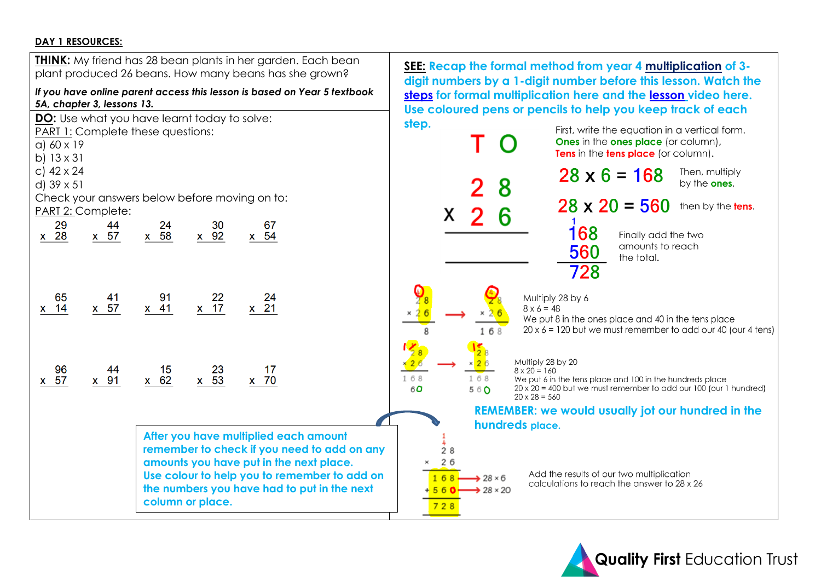#### **DAY 1 RESOURCES:**



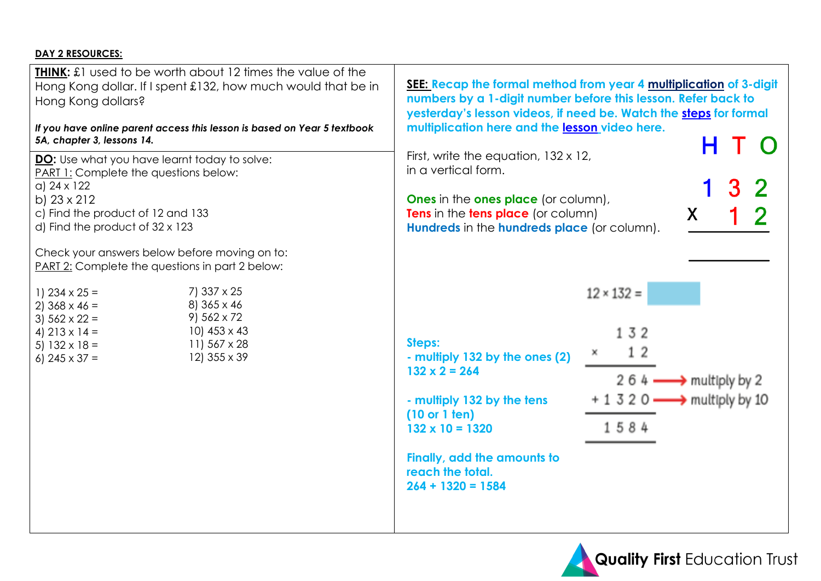# **DAY 2 RESOURCES:**

| <b>THINK:</b> £1 used to be worth about 12 times the value of the<br>Hong Kong dollar. If I spent £132, how much would that be in<br>Hong Kong dollars?<br>If you have online parent access this lesson is based on Year 5 textbook<br>5A, chapter 3, lessons 14.<br><b>DO:</b> Use what you have learnt today to solve:<br><b>PART 1:</b> Complete the questions below:<br>$a) 24 \times 122$<br>b) 23 x 212<br>c) Find the product of 12 and 133<br>d) Find the product of $32 \times 123$ | <b>SEE: Recap the formal method from year 4 multiplication of 3-digit</b><br>numbers by a 1-digit number before this lesson. Refer back to<br>yesterday's lesson videos, if need be. Watch the steps for formal<br>multiplication here and the lesson video here.<br>First, write the equation, $132 \times 12$ ,<br>in a vertical form.<br><b>Ones</b> in the <b>ones place</b> (or column),<br>Tens in the tens place (or column)<br>X<br>Hundreds in the hundreds place (or column). |  |  |  |  |  |  |
|----------------------------------------------------------------------------------------------------------------------------------------------------------------------------------------------------------------------------------------------------------------------------------------------------------------------------------------------------------------------------------------------------------------------------------------------------------------------------------------------|-----------------------------------------------------------------------------------------------------------------------------------------------------------------------------------------------------------------------------------------------------------------------------------------------------------------------------------------------------------------------------------------------------------------------------------------------------------------------------------------|--|--|--|--|--|--|
| Check your answers below before moving on to:<br><b>PART 2:</b> Complete the questions in part 2 below:<br>7) 337 x 25<br>1) $234 \times 25 =$<br>8) 365 x 46<br>2) $368 \times 46 =$<br>$9)$ 562 x 72<br>3) $562 \times 22 =$<br>10) $453 \times 43$<br>4) $213 \times 14 =$<br>11) 567 x 28<br>5) $132 \times 18 =$<br>12) 355 x 39<br>6) $245 \times 37 =$                                                                                                                                | $12 \times 132 =$<br>132<br>Steps:<br>12<br>- multiply 132 by the ones (2)<br>$132 \times 2 = 264$<br>2 6 4 $\longrightarrow$ multiply by 2<br>$+ 1$ 3 2 0 $\longrightarrow$ multiply by 10<br>- multiply 132 by the tens<br>(10 or 1 ten)<br>1584<br>$132 \times 10 = 1320$<br>Finally, add the amounts to<br>reach the total.<br>$264 + 1320 = 1584$                                                                                                                                  |  |  |  |  |  |  |

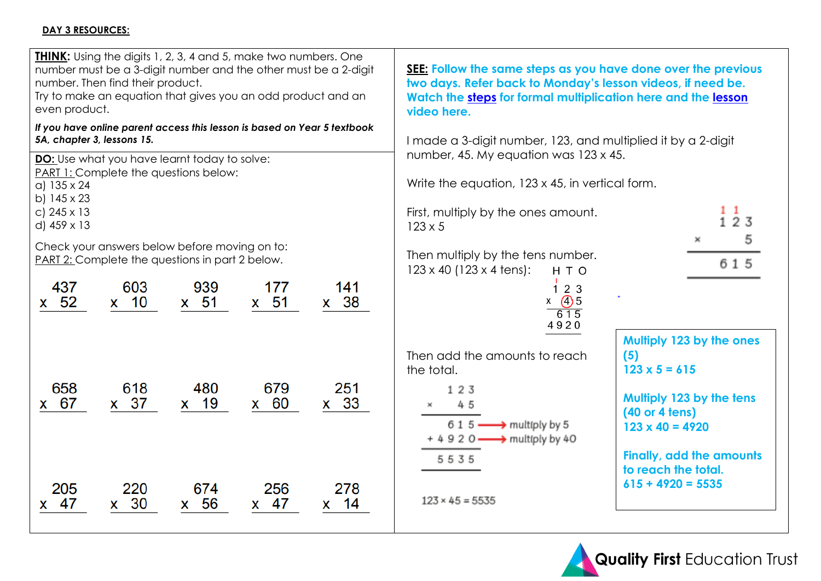#### **DAY 3 RESOURCES:**

| even product.                                                                         | number. Then find their product.                                                                        |                       | <b>THINK:</b> Using the digits 1, 2, 3, 4 and 5, make two numbers. One<br>number must be a 3-digit number and the other must be a 2-digit<br>Try to make an equation that gives you an odd product and an |                       | SEE: Follow the same steps as you have done over the previous<br>two days. Refer back to Monday's lesson videos, if need be.<br>Watch the steps for formal multiplication here and the lesson<br>video here. |                                                                                                                                 |  |  |  |  |  |  |
|---------------------------------------------------------------------------------------|---------------------------------------------------------------------------------------------------------|-----------------------|-----------------------------------------------------------------------------------------------------------------------------------------------------------------------------------------------------------|-----------------------|--------------------------------------------------------------------------------------------------------------------------------------------------------------------------------------------------------------|---------------------------------------------------------------------------------------------------------------------------------|--|--|--|--|--|--|
| 5A, chapter 3, lessons 15.<br>a) $135 \times 24$<br>b) 145 x 23<br>c) $245 \times 13$ | <b>DO:</b> Use what you have learnt today to solve:<br>PART 1: Complete the questions below:            |                       | If you have online parent access this lesson is based on Year 5 textbook                                                                                                                                  |                       | I made a 3-digit number, 123, and multiplied it by a 2-digit<br>number, 45. My equation was 123 x 45.<br>Write the equation, 123 x 45, in vertical form.<br>First, multiply by the ones amount.              | $1\quad1$                                                                                                                       |  |  |  |  |  |  |
| d) 459 x 13<br>437                                                                    | Check your answers below before moving on to:<br>PART 2: Complete the questions in part 2 below.<br>603 | 939                   | 177                                                                                                                                                                                                       | 141                   | $123 \times 5$<br>Then multiply by the tens number.<br>$123 \times 40$ (123 x 4 tens):<br>H T O<br>123                                                                                                       | 123<br>×<br>615                                                                                                                 |  |  |  |  |  |  |
| x 52                                                                                  | x 10                                                                                                    | $x$ 51                | $x$ 51                                                                                                                                                                                                    | x 38                  | $x \quad (4)5$<br>615<br>4920<br>Then add the amounts to reach                                                                                                                                               | Multiply 123 by the ones<br>(5)                                                                                                 |  |  |  |  |  |  |
| 658<br>67<br><b>X</b>                                                                 | 618<br>$x \quad 37$                                                                                     | 480<br>x 19           | 679<br>x 60                                                                                                                                                                                               | 251<br>$x$ 33         | the total.<br>123<br>45<br>$615$ $\longrightarrow$ multiply by 5<br>$+ 4 9 2 0 \longrightarrow$ multiply by 40<br>5535                                                                                       | $123 \times 5 = 615$<br>Multiply 123 by the tens<br>(40 or 4 tens)<br>$123 \times 40 = 4920$<br><b>Finally, add the amounts</b> |  |  |  |  |  |  |
| 205<br>47<br><b>X</b>                                                                 | 220<br>$x \quad 30$                                                                                     | 674<br>56<br><b>X</b> | 256<br>$x \quad 47$                                                                                                                                                                                       | 278<br>14<br><b>X</b> | $123 \times 45 = 5535$                                                                                                                                                                                       | to reach the total.<br>$615 + 4920 = 5535$                                                                                      |  |  |  |  |  |  |

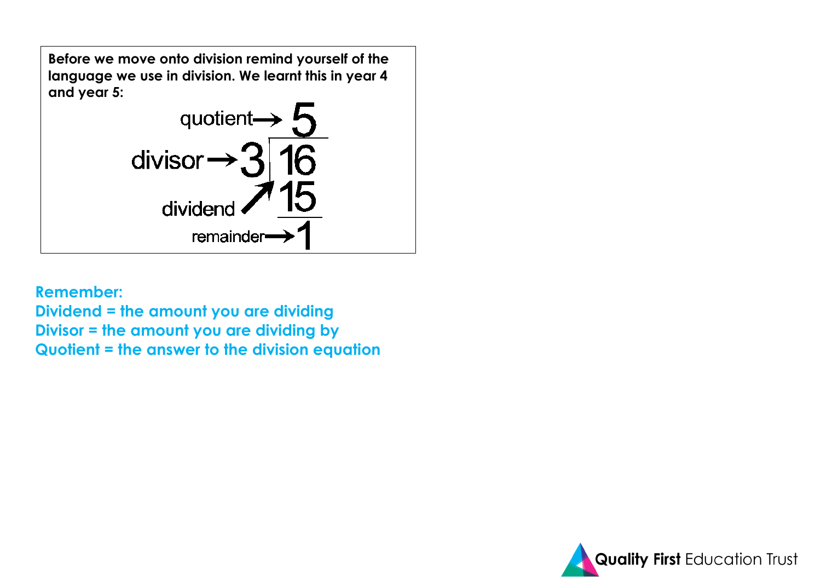

**Remember:**

**Dividend = the amount you are dividing Divisor = the amount you are dividing by Quotient = the answer to the division equation**

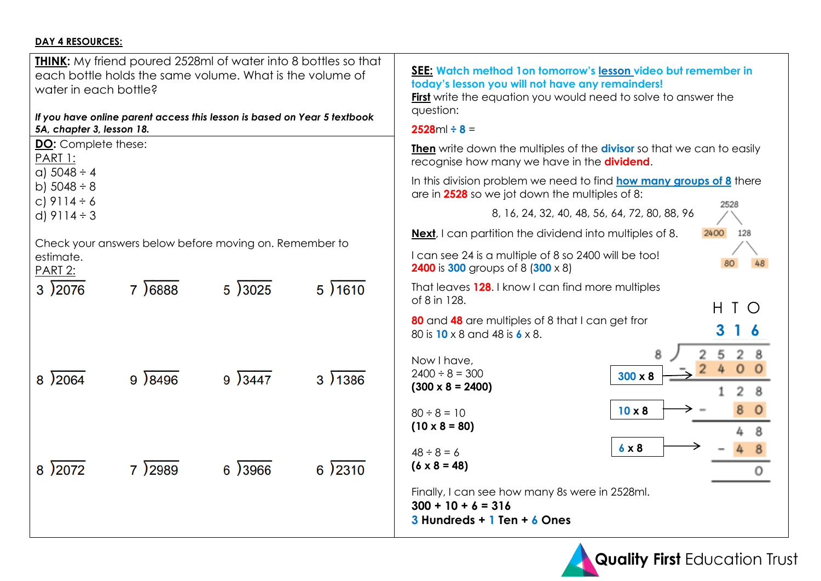# **DAY 4 RESOURCES:**

| <b>THINK:</b> My friend poured 2528ml of water into 8 bottles so that<br>each bottle holds the same volume. What is the volume of<br>water in each bottle?<br>If you have online parent access this lesson is based on Year 5 textbook | SEE: Watch method 1 on tomorrow's lesson video but remember in<br>today's lesson you will not have any remainders!<br><b>First</b> write the equation you would need to solve to answer the<br>question: |  |  |  |  |  |  |
|----------------------------------------------------------------------------------------------------------------------------------------------------------------------------------------------------------------------------------------|----------------------------------------------------------------------------------------------------------------------------------------------------------------------------------------------------------|--|--|--|--|--|--|
| 5A, chapter 3, lesson 18.                                                                                                                                                                                                              | $2528ml \div 8 =$                                                                                                                                                                                        |  |  |  |  |  |  |
| <b>DO:</b> Complete these:<br>PART 1:                                                                                                                                                                                                  | <b>Then</b> write down the multiples of the <b>divisor</b> so that we can to easily<br>recognise how many we have in the <b>dividend</b> .                                                               |  |  |  |  |  |  |
| $a)$ 5048 ÷ 4<br>b) $5048 - 8$<br>c) $9114 - 6$                                                                                                                                                                                        | In this division problem we need to find <b>how many groups of 8</b> there<br>are in 2528 so we jot down the multiples of 8:<br>2528                                                                     |  |  |  |  |  |  |
| d) $9114 \div 3$                                                                                                                                                                                                                       | 8, 16, 24, 32, 40, 48, 56, 64, 72, 80, 88, 96                                                                                                                                                            |  |  |  |  |  |  |
| Check your answers below before moving on. Remember to                                                                                                                                                                                 | <b>Next</b> , I can partition the dividend into multiples of 8.<br>2400<br>128                                                                                                                           |  |  |  |  |  |  |
| estimate.<br>PART 2:                                                                                                                                                                                                                   | I can see 24 is a multiple of 8 so 2400 will be too!<br><b>2400</b> is 300 groups of 8 (300 x 8)                                                                                                         |  |  |  |  |  |  |
| 7 6888<br>5)3025<br>5)1610<br>3)2076                                                                                                                                                                                                   | That leaves 128. I know I can find more multiples<br>of 8 in 128.<br>H.<br>$\mathsf{T}$<br>$\bigcirc$                                                                                                    |  |  |  |  |  |  |
|                                                                                                                                                                                                                                        | 80 and 48 are multiples of 8 that I can get fror<br>80 is 10 x 8 and 48 is 6 x 8.                                                                                                                        |  |  |  |  |  |  |
| 3)1386<br>8 2064<br>9 8496<br>9)3447                                                                                                                                                                                                   | Now I have,<br>$2400 \div 8 = 300$<br>$300 \times 8$<br>$(300 \times 8 = 2400)$<br>8                                                                                                                     |  |  |  |  |  |  |
|                                                                                                                                                                                                                                        | $10 \times 8$<br>$80 \div 8 = 10$<br>$(10 \times 8 = 80)$                                                                                                                                                |  |  |  |  |  |  |
| 8)2072<br>7 2989<br>6 3966<br>6)2310                                                                                                                                                                                                   | $6 \times 8$<br>$48 \div 8 = 6$<br>$(6 \times 8 = 48)$<br>0                                                                                                                                              |  |  |  |  |  |  |
|                                                                                                                                                                                                                                        | Finally, I can see how many 8s were in 2528ml.<br>$300 + 10 + 6 = 316$<br>$3$ Hundreds + 1 Ten + 6 Ones                                                                                                  |  |  |  |  |  |  |

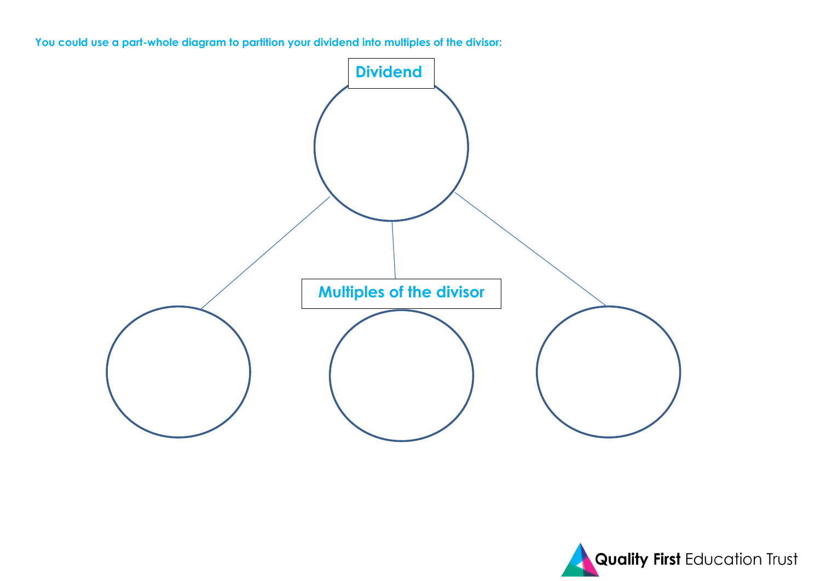**You could use a part-whole diagram to partition your dividend into multiples of the divisor:**



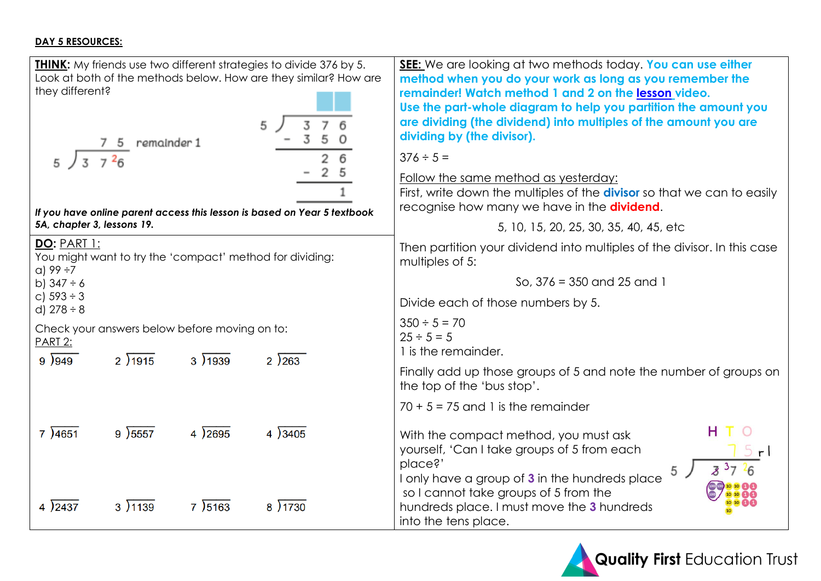#### **DAY 5 RESOURCES:**

| <b>THINK:</b> My friends use two different strategies to divide 376 by 5.<br>Look at both of the methods below. How are they similar? How are<br>they different?<br>5<br>7 5 remainder 1<br>$3 \t7 \t26$ | <b>SEE:</b> We are looking at two methods today. You can use either<br>method when you do your work as long as you remember the<br>remainder! Watch method 1 and 2 on the lesson video.<br>Use the part-whole diagram to help you partition the amount you<br>are dividing (the dividend) into multiples of the amount you are<br>dividing by (the divisor).<br>$376 \div 5 =$<br>Follow the same method as yesterday:<br>First, write down the multiples of the <b>divisor</b> so that we can to easily |
|----------------------------------------------------------------------------------------------------------------------------------------------------------------------------------------------------------|----------------------------------------------------------------------------------------------------------------------------------------------------------------------------------------------------------------------------------------------------------------------------------------------------------------------------------------------------------------------------------------------------------------------------------------------------------------------------------------------------------|
| If you have online parent access this lesson is based on Year 5 textbook                                                                                                                                 | recognise how many we have in the <b>dividend</b> .                                                                                                                                                                                                                                                                                                                                                                                                                                                      |
| 5A, chapter 3, lessons 19.                                                                                                                                                                               | 5, 10, 15, 20, 25, 30, 35, 40, 45, etc                                                                                                                                                                                                                                                                                                                                                                                                                                                                   |
| <b>DO: PART 1:</b><br>You might want to try the 'compact' method for dividing:<br>$a)$ 99 ÷7                                                                                                             | Then partition your dividend into multiples of the divisor. In this case<br>multiples of 5:                                                                                                                                                                                                                                                                                                                                                                                                              |
| b) $347 \div 6$                                                                                                                                                                                          | So, $376 = 350$ and $25$ and 1                                                                                                                                                                                                                                                                                                                                                                                                                                                                           |
| c) $593 \div 3$<br>d) $278 \div 8$                                                                                                                                                                       | Divide each of those numbers by 5.                                                                                                                                                                                                                                                                                                                                                                                                                                                                       |
| Check your answers below before moving on to:<br><b>PART 2:</b>                                                                                                                                          | $350 \div 5 = 70$<br>$25 \div 5 = 5$<br>1 is the remainder.                                                                                                                                                                                                                                                                                                                                                                                                                                              |
| 9)949<br>2)1915<br>3)1939<br>2)263                                                                                                                                                                       | Finally add up those groups of 5 and note the number of groups on<br>the top of the 'bus stop'.                                                                                                                                                                                                                                                                                                                                                                                                          |
|                                                                                                                                                                                                          | $70 + 5 = 75$ and 1 is the remainder                                                                                                                                                                                                                                                                                                                                                                                                                                                                     |
| 7)4651<br>9)5557<br>4)3405<br>4)2695                                                                                                                                                                     | н<br>With the compact method, you must ask<br>yourself, 'Can I take groups of 5 from each<br>place?'<br>5 <sub>1</sub>                                                                                                                                                                                                                                                                                                                                                                                   |
| 4 2437<br>3)1139<br>7 5163<br>8 ) 1730                                                                                                                                                                   | I only have a group of 3 in the hundreds place<br>so I cannot take groups of 5 from the<br>hundreds place. I must move the 3 hundreds<br>into the tens place.                                                                                                                                                                                                                                                                                                                                            |

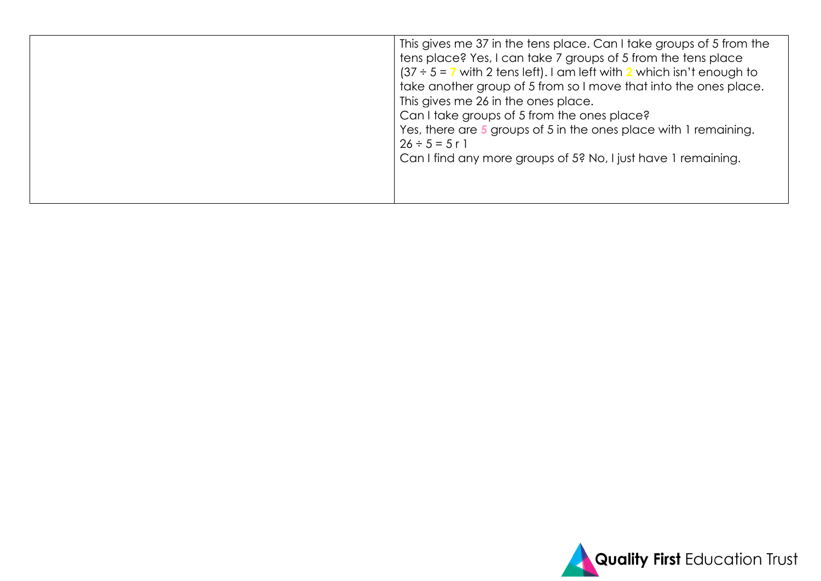|  | This gives me 37 in the tens place. Can I take groups of 5 from the<br>tens place? Yes, I can take 7 groups of 5 from the tens place<br>$(37 \div 5 = 7$ with 2 tens left). I am left with 2 which isn't enough to<br>take another group of 5 from so I move that into the ones place.<br>This gives me 26 in the ones place.<br>Can I take groups of 5 from the ones place?<br>Yes, there are 5 groups of 5 in the ones place with 1 remaining.<br>$26 \div 5 = 5 \text{ r}$<br>Can I find any more groups of 5? No, I just have 1 remaining. |
|--|------------------------------------------------------------------------------------------------------------------------------------------------------------------------------------------------------------------------------------------------------------------------------------------------------------------------------------------------------------------------------------------------------------------------------------------------------------------------------------------------------------------------------------------------|
|--|------------------------------------------------------------------------------------------------------------------------------------------------------------------------------------------------------------------------------------------------------------------------------------------------------------------------------------------------------------------------------------------------------------------------------------------------------------------------------------------------------------------------------------------------|

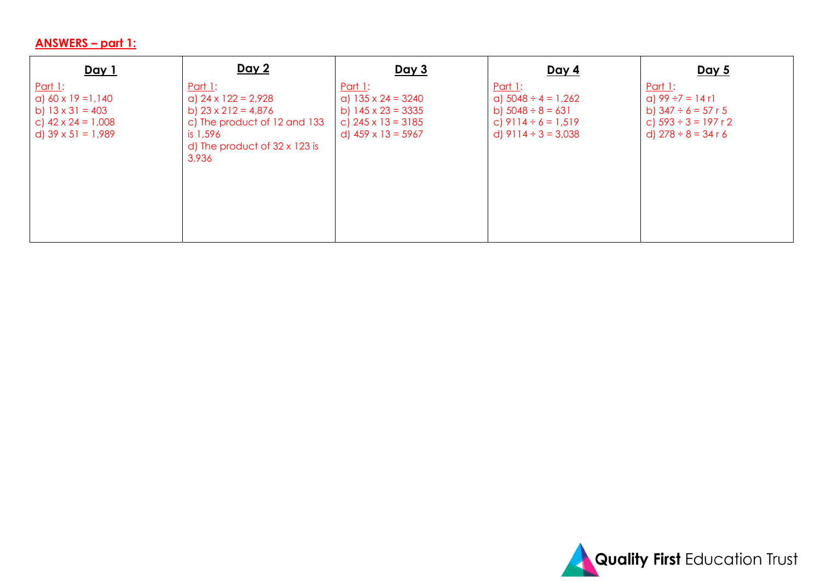# **ANSWERS – part 1:**

| Day 1                                                                                                                            | <u>Day 2</u>                                                                                                                                                            | <u>Day 3</u>                                                                                                                   | <u>Day 4</u>                                                                                                                 | <u>Day 5</u>                                                                                                                         |
|----------------------------------------------------------------------------------------------------------------------------------|-------------------------------------------------------------------------------------------------------------------------------------------------------------------------|--------------------------------------------------------------------------------------------------------------------------------|------------------------------------------------------------------------------------------------------------------------------|--------------------------------------------------------------------------------------------------------------------------------------|
| <u>Part 1:</u><br>a) $60 \times 19 = 1,140$<br>b) $13 \times 31 = 403$<br>c) $42 \times 24 = 1,008$<br>d) $39 \times 51 = 1,989$ | <u>Part 1:</u><br>a) $24 \times 122 = 2,928$<br>b) $23 \times 212 = 4,876$<br>c) The product of 12 and 133<br>is 1,596<br>d) The product of $32 \times 123$ is<br>3,936 | Part $1$ :<br>a) $135 \times 24 = 3240$<br>b) $145 \times 23 = 3335$<br>c) $245 \times 13 = 3185$<br>d) $459 \times 13 = 5967$ | <u>Part 1:</u><br>a) $5048 \div 4 = 1,262$<br>b) $5048 \div 8 = 631$<br>c) $9114 \div 6 = 1,519$<br>d) $9114 \div 3 = 3,038$ | <u>Part 1:</u><br>a) $99 \div 7 = 14 \text{ r}$<br>b) $347 \div 6 = 57$ r 5<br>c) $593 \div 3 = 197$ r 2<br>d) $278 \div 8 = 34 r 6$ |